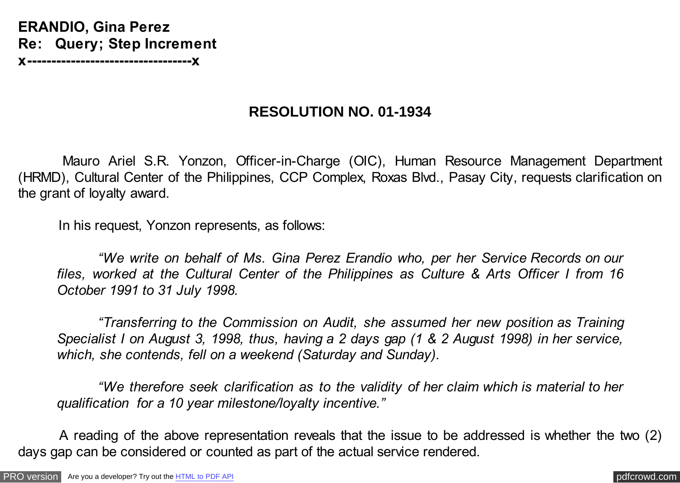**ERANDIO, Gina Perez Re: Query; Step Increment x----------------------------------x**

## **RESOLUTION NO. 01-1934**

 Mauro Ariel S.R. Yonzon, Officer-in-Charge (OIC), Human Resource Management Department (HRMD), Cultural Center of the Philippines, CCP Complex, Roxas Blvd., Pasay City, requests clarification on the grant of loyalty award.

In his request, Yonzon represents, as follows:

 *"We write on behalf of Ms. Gina Perez Erandio who, per her Service Records on our files, worked at the Cultural Center of the Philippines as Culture & Arts Officer I from 16 October 1991 to 31 July 1998.*

 *"Transferring to the Commission on Audit, she assumed her new position as Training Specialist I on August 3, 1998, thus, having a 2 days gap (1 & 2 August 1998) in her service, which, she contends, fell on a weekend (Saturday and Sunday).*

 *"We therefore seek clarification as to the validity of her claim which is material to her qualification for a 10 year milestone/loyalty incentive."*

 A reading of the above representation reveals that the issue to be addressed is whether the two (2) days gap can be considered or counted as part of the actual service rendered.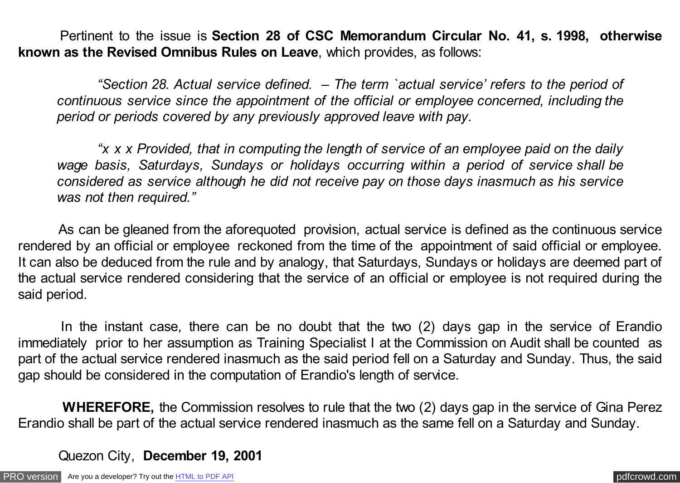Pertinent to the issue is **Section 28 of CSC Memorandum Circular No. 41, s. 1998, otherwise known as the Revised Omnibus Rules on Leave**, which provides, as follows:

 *"Section 28. Actual service defined. – The term `actual service' refers to the period of continuous service since the appointment of the official or employee concerned, including the period or periods covered by any previously approved leave with pay.*

 *"x x x Provided, that in computing the length of service of an employee paid on the daily wage basis, Saturdays, Sundays or holidays occurring within a period of service shall be considered as service although he did not receive pay on those days inasmuch as his service was not then required."*

 As can be gleaned from the aforequoted provision, actual service is defined as the continuous service rendered by an official or employee reckoned from the time of the appointment of said official or employee. It can also be deduced from the rule and by analogy, that Saturdays, Sundays or holidays are deemed part of the actual service rendered considering that the service of an official or employee is not required during the said period.

 In the instant case, there can be no doubt that the two (2) days gap in the service of Erandio immediately prior to her assumption as Training Specialist I at the Commission on Audit shall be counted as part of the actual service rendered inasmuch as the said period fell on a Saturday and Sunday. Thus, the said gap should be considered in the computation of Erandio's length of service.

 **WHEREFORE,** the Commission resolves to rule that the two (2) days gap in the service of Gina Perez Erandio shall be part of the actual service rendered inasmuch as the same fell on a Saturday and Sunday.

Quezon City, **December 19, 2001**